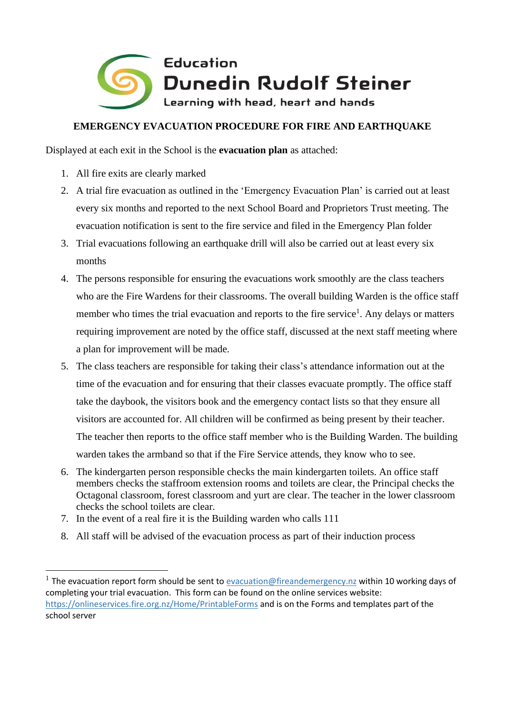

## **EMERGENCY EVACUATION PROCEDURE FOR FIRE AND EARTHQUAKE**

Displayed at each exit in the School is the **evacuation plan** as attached:

- 1. All fire exits are clearly marked
- 2. A trial fire evacuation as outlined in the 'Emergency Evacuation Plan' is carried out at least every six months and reported to the next School Board and Proprietors Trust meeting. The evacuation notification is sent to the fire service and filed in the Emergency Plan folder
- 3. Trial evacuations following an earthquake drill will also be carried out at least every six months
- 4. The persons responsible for ensuring the evacuations work smoothly are the class teachers who are the Fire Wardens for their classrooms. The overall building Warden is the office staff member who times the trial evacuation and reports to the fire service<sup>1</sup>. Any delays or matters requiring improvement are noted by the office staff, discussed at the next staff meeting where a plan for improvement will be made.
- 5. The class teachers are responsible for taking their class's attendance information out at the time of the evacuation and for ensuring that their classes evacuate promptly. The office staff take the daybook, the visitors book and the emergency contact lists so that they ensure all visitors are accounted for. All children will be confirmed as being present by their teacher. The teacher then reports to the office staff member who is the Building Warden. The building warden takes the armband so that if the Fire Service attends, they know who to see.
- 6. The kindergarten person responsible checks the main kindergarten toilets. An office staff members checks the staffroom extension rooms and toilets are clear, the Principal checks the Octagonal classroom, forest classroom and yurt are clear. The teacher in the lower classroom checks the school toilets are clear.
- 7. In the event of a real fire it is the Building warden who calls 111
- 8. All staff will be advised of the evacuation process as part of their induction process

<sup>&</sup>lt;sup>1</sup> The evacuation report form should be sent to **evacuation@fireandemergency.nz** within 10 working days of completing your trial evacuation. This form can be found on the online services website: <https://onlineservices.fire.org.nz/Home/PrintableForms> and is on the Forms and templates part of the school server